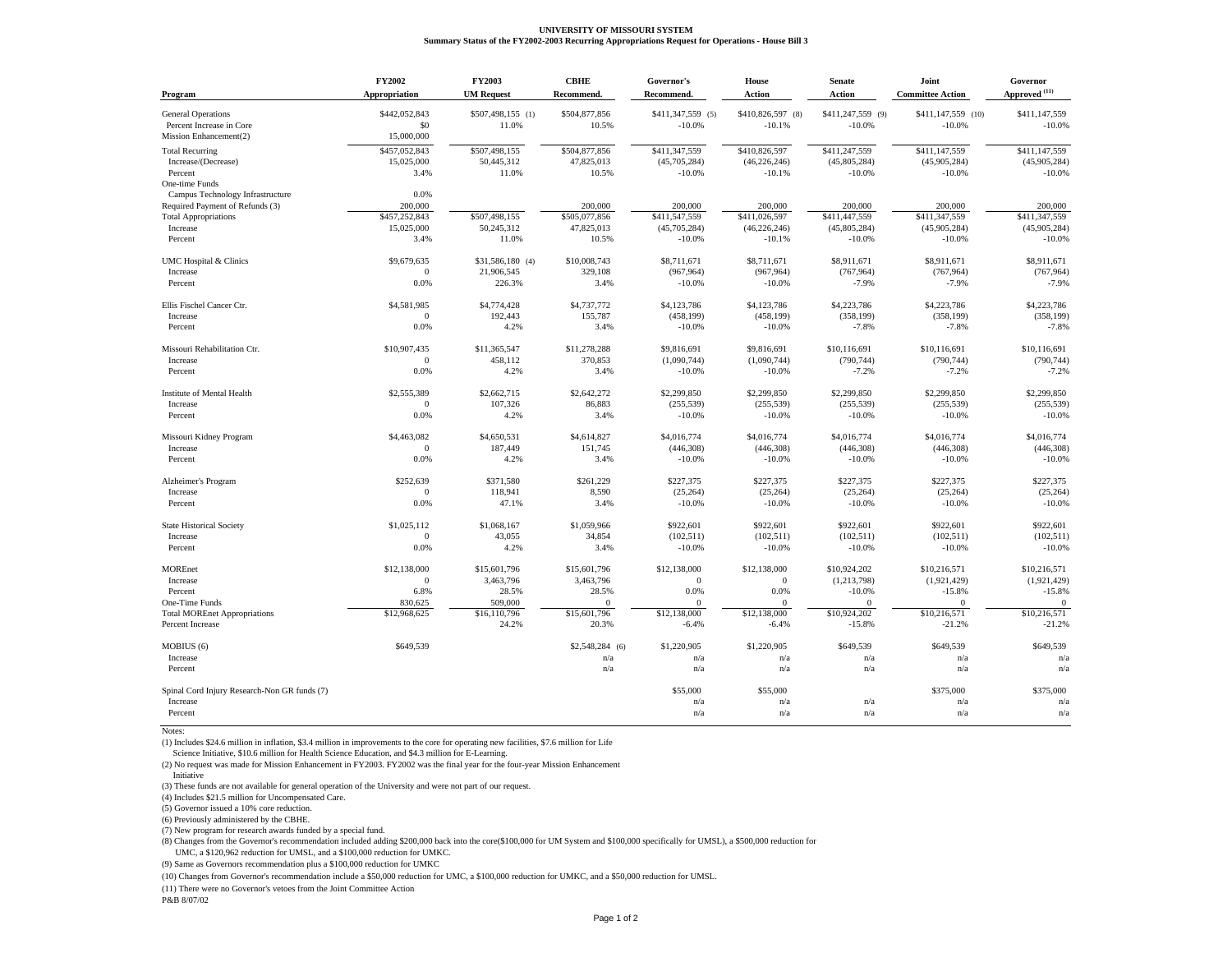## **UNIVERSITY OF MISSOURI SYSTEM Summary Status of the FY2002-2003 Recurring Appropriations Request for Operations - House Bill 3**

| Program                                                                         | FY2002                              | FY2003                               | <b>CBHE</b>                          | Governor's                                | House                                       | <b>Senate</b>                             | Joint                                     | Governor                                  |
|---------------------------------------------------------------------------------|-------------------------------------|--------------------------------------|--------------------------------------|-------------------------------------------|---------------------------------------------|-------------------------------------------|-------------------------------------------|-------------------------------------------|
|                                                                                 | Appropriation                       | <b>UM Request</b>                    | Recommend.                           | Recommend.                                | <b>Action</b>                               | <b>Action</b>                             | <b>Committee Action</b>                   | $\mathbf{Approved}^{(11)}$                |
| <b>General Operations</b><br>Percent Increase in Core<br>Mission Enhancement(2) | \$442,052,843<br>\$0<br>15,000,000  | \$507,498,155 (1)<br>11.0%           | \$504,877,856<br>10.5%               | \$411,347,559 (5)<br>$-10.0%$             | \$410,826,597 (8)<br>$-10.1%$               | \$411,247,559 (9)<br>$-10.0%$             | \$411,147,559 (10)<br>$-10.0%$            | \$411,147,559<br>$-10.0%$                 |
| <b>Total Recurring</b><br>Increase/(Decrease)<br>Percent<br>One-time Funds      | \$457,052,843<br>15,025,000<br>3.4% | \$507,498,155<br>50,445,312<br>11.0% | \$504,877,856<br>47,825,013<br>10.5% | \$411.347.559<br>(45,705,284)<br>$-10.0%$ | \$410,826,597<br>(46, 226, 246)<br>$-10.1%$ | \$411,247,559<br>(45,805,284)<br>$-10.0%$ | \$411,147,559<br>(45,905,284)<br>$-10.0%$ | \$411,147,559<br>(45,905,284)<br>$-10.0%$ |
| Campus Technology Infrastructure<br>Required Payment of Refunds (3)             | 0.0%<br>200,000                     |                                      | 200,000                              | 200,000                                   | 200,000                                     | 200,000                                   | 200,000                                   | 200,000                                   |
| <b>Total Appropriations</b>                                                     | \$457,252,843                       | \$507,498,155                        | \$505,077,856                        | \$411,547,559                             | \$411,026,597                               | \$411,447,559                             | \$411,347,559                             | \$411,347,559                             |
| Increase                                                                        | 15,025,000                          | 50,245,312                           | 47,825,013                           | (45,705,284)                              | (46, 226, 246)                              | (45,805,284)                              | (45,905,284)                              | (45,905,284)                              |
| Percent                                                                         | 3.4%                                | 11.0%                                | 10.5%                                | $-10.0%$                                  | $-10.1%$                                    | $-10.0%$                                  | $-10.0%$                                  | $-10.0%$                                  |
| <b>UMC Hospital &amp; Clinics</b>                                               | \$9,679,635                         | \$31,586,180 (4)                     | \$10,008,743                         | \$8,711,671                               | \$8,711,671                                 | \$8,911,671                               | \$8,911,671                               | \$8,911,671                               |
| Increase                                                                        | $\Omega$                            | 21,906,545                           | 329,108                              | (967, 964)                                | (967, 964)                                  | (767, 964)                                | (767, 964)                                | (767, 964)                                |
| Percent                                                                         | 0.0%                                | 226.3%                               | 3.4%                                 | $-10.0%$                                  | $-10.0%$                                    | $-7.9%$                                   | $-7.9%$                                   | $-7.9%$                                   |
| Ellis Fischel Cancer Ctr.                                                       | \$4,581,985                         | \$4,774,428                          | \$4,737,772                          | \$4,123,786                               | \$4,123,786                                 | \$4,223,786                               | \$4,223,786                               | \$4,223,786                               |
| Increase                                                                        | $\mathbf{0}$                        | 192,443                              | 155,787                              | (458, 199)                                | (458, 199)                                  | (358, 199)                                | (358, 199)                                | (358, 199)                                |
| Percent                                                                         | 0.0%                                | 4.2%                                 | 3.4%                                 | $-10.0%$                                  | $-10.0%$                                    | $-7.8%$                                   | $-7.8%$                                   | $-7.8%$                                   |
| Missouri Rehabilitation Ctr.                                                    | \$10,907,435                        | \$11,365,547                         | \$11,278,288                         | \$9,816,691                               | \$9,816,691                                 | \$10,116,691                              | \$10,116,691                              | \$10,116,691                              |
| Increase                                                                        | $\Omega$                            | 458,112                              | 370,853                              | (1,090,744)                               | (1,090,744)                                 | (790, 744)                                | (790, 744)                                | (790, 744)                                |
| Percent                                                                         | 0.0%                                | 4.2%                                 | 3.4%                                 | $-10.0%$                                  | $-10.0%$                                    | $-7.2%$                                   | $-7.2%$                                   | $-7.2%$                                   |
| Institute of Mental Health                                                      | \$2,555,389                         | \$2,662,715                          | \$2,642,272                          | \$2,299,850                               | \$2,299,850                                 | \$2,299,850                               | \$2,299,850                               | \$2,299,850                               |
| Increase                                                                        | $\theta$                            | 107,326                              | 86,883                               | (255, 539)                                | (255, 539)                                  | (255, 539)                                | (255, 539)                                | (255, 539)                                |
| Percent                                                                         | 0.0%                                | 4.2%                                 | 3.4%                                 | $-10.0%$                                  | $-10.0%$                                    | $-10.0%$                                  | $-10.0%$                                  | $-10.0%$                                  |
| Missouri Kidney Program                                                         | \$4,463,082                         | \$4,650,531                          | \$4,614,827                          | \$4,016,774                               | \$4,016,774                                 | \$4,016,774                               | \$4,016,774                               | \$4,016,774                               |
| Increase                                                                        | $\theta$                            | 187,449                              | 151,745                              | (446,308)                                 | (446,308)                                   | (446, 308)                                | (446,308)                                 | (446, 308)                                |
| Percent                                                                         | 0.0%                                | 4.2%                                 | 3.4%                                 | $-10.0%$                                  | $-10.0%$                                    | $-10.0%$                                  | $-10.0%$                                  | $-10.0%$                                  |
|                                                                                 |                                     |                                      |                                      |                                           |                                             |                                           |                                           |                                           |
| Alzheimer's Program                                                             | \$252,639                           | \$371,580                            | \$261,229                            | \$227,375                                 | \$227,375                                   | \$227,375                                 | \$227,375                                 | \$227,375                                 |
| Increase                                                                        | $\Omega$                            | 118,941                              | 8,590                                | (25, 264)                                 | (25, 264)                                   | (25, 264)                                 | (25, 264)                                 | (25, 264)                                 |
| Percent                                                                         | 0.0%                                | 47.1%                                | 3.4%                                 | $-10.0%$                                  | $-10.0%$                                    | $-10.0%$                                  | $-10.0%$                                  | $-10.0%$                                  |
| <b>State Historical Society</b>                                                 | \$1,025,112                         | \$1,068,167                          | \$1,059,966                          | \$922,601                                 | \$922,601                                   | \$922,601                                 | \$922,601                                 | \$922,601                                 |
| Increase                                                                        | $\Omega$                            | 43,055                               | 34,854                               | (102, 511)                                | (102, 511)                                  | (102, 511)                                | (102, 511)                                | (102, 511)                                |
| Percent                                                                         | 0.0%                                | 4.2%                                 | 3.4%                                 | $-10.0%$                                  | $-10.0%$                                    | $-10.0%$                                  | $-10.0%$                                  | $-10.0%$                                  |
| <b>MOREnet</b>                                                                  | \$12,138,000                        | \$15,601,796                         | \$15,601,796                         | \$12,138,000                              | \$12,138,000                                | \$10,924,202                              | \$10,216,571                              | \$10,216,571                              |
| Increase                                                                        | $\overline{0}$                      | 3,463,796                            | 3,463,796                            | $\theta$                                  | $\mathbf{0}$                                | (1,213,798)                               | (1,921,429)                               | (1,921,429)                               |
| Percent                                                                         | 6.8%                                | 28.5%                                | 28.5%                                | 0.0%                                      | 0.0%                                        | $-10.0%$                                  | $-15.8%$                                  | $-15.8%$                                  |
| One-Time Funds                                                                  | 830,625                             | 509,000                              | $\overline{0}$                       | $\mathbf{0}$                              | $\mathbf{0}$                                | $\mathbf{0}$                              | $\overline{0}$                            | $\mathbf{0}$                              |
| <b>Total MOREnet Appropriations</b>                                             | \$12,968,625                        | \$16,110,796                         | \$15,601,796                         | \$12,138,000                              | \$12,138,000                                | \$10,924,202                              | \$10,216,571                              | \$10,216,571                              |
| Percent Increase                                                                |                                     | 24.2%                                | 20.3%                                | $-6.4%$                                   | $-6.4%$                                     | $-15.8%$                                  | $-21.2%$                                  | $-21.2%$                                  |
| MOBIUS (6)<br>Increase<br>Percent                                               | \$649,539                           |                                      | \$2,548,284 (6)<br>n/a<br>n/a        | \$1,220,905<br>n/a<br>n/a                 | \$1,220,905<br>n/a<br>n/a                   | \$649,539<br>n/a<br>n/a                   | \$649,539<br>n/a<br>n/a                   | \$649,539<br>n/a<br>n/a                   |
| Spinal Cord Injury Research-Non GR funds (7)                                    |                                     |                                      |                                      | \$55,000                                  | \$55,000                                    |                                           | \$375,000                                 | \$375,000                                 |
| Increase<br>Percent                                                             |                                     |                                      |                                      | n/a<br>n/a                                | n/a<br>n/a                                  | n/a<br>n/a                                | n/a<br>n/a                                | n/a<br>n/a                                |

Notes:

(1) Includes \$24.6 million in inflation, \$3.4 million in improvements to the core for operating new facilities, \$7.6 million for Life

Science Initiative, \$10.6 million for Health Science Education, and \$4.3 million for E-Learning.

(2) No request was made for Mission Enhancement in FY2003. FY2002 was the final year for the four-year Mission Enhancement Initiative

(3) These funds are not available for general operation of the University and were not part of our request.

(4) Includes \$21.5 million for Uncompensated Care.

(5) Governor issued a 10% core reduction.

(6) Previously administered by the CBHE.

(7) New program for research awards funded by a special fund.

(8) Changes from the Governor's recommendation included adding \$200,000 back into the core(\$100,000 for UM System and \$100,000 specifically for UMSL), a \$500,000 reduction for

UMC, a \$120,962 reduction for UMSL, and a \$100,000 reduction for UMKC.

(9) Same as Governors recommendation plus a \$100,000 reduction for UMKC

(10) Changes from Governor's recommendation include a \$50,000 reduction for UMC, a \$100,000 reduction for UMKC, and a \$50,000 reduction for UMSL.

(11) There were no Governor's vetoes from the Joint Committee Action

P&B 8/07/02